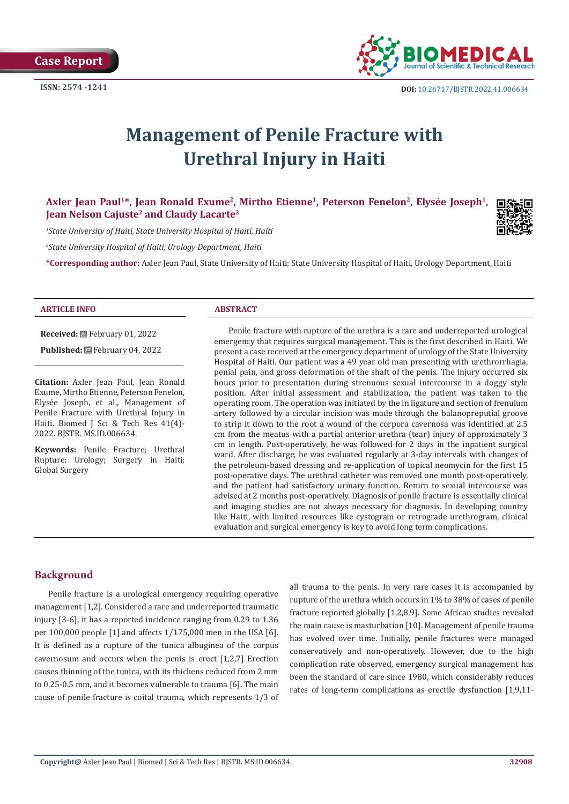

# **Management of Penile Fracture with Urethral Injury in Haiti**

Axler Jean Paul<sup>1\*</sup>, Jean Ronald Exume<sup>2</sup>, Mirtho Etienne<sup>1</sup>, Peterson Fenelon<sup>2</sup>, Elysée Joseph<sup>1</sup>, **Jean Nelson Cajuste2 and Claudy Lacarte2**

*1 State University of Haiti, State University Hospital of Haiti, Haiti*

*2 State University Hospital of Haiti, Urology Department, Haiti*

**\*Corresponding author:** Axler Jean Paul, State University of Haiti; State University Hospital of Haiti, Urology Department, Haiti



#### **ARTICLE INFO ABSTRACT**

**Received:** February 01, 2022

Published: **■**February 04, 2022

**Citation:** Axler Jean Paul, Jean Ronald Exume, Mirtho Etienne, Peterson Fenelon, Elysée Joseph, et al., Management of Penile Fracture with Urethral Injury in Haiti. Biomed J Sci & Tech Res 41(4)- 2022. BJSTR. MS.ID.006634.

**Keywords:** Penile Fracture; Urethral Rupture; Urology; Surgery in Haiti; Global Surgery

Penile fracture with rupture of the urethra is a rare and underreported urological emergency that requires surgical management. This is the first described in Haiti. We present a case received at the emergency department of urology of the State University Hospital of Haiti. Our patient was a 49 year old man presenting with urethrorrhagia, penial pain, and gross deformation of the shaft of the penis. The injury occurred six hours prior to presentation during strenuous sexual intercourse in a doggy style position. After initial assessment and stabilization, the patient was taken to the operating room. The operation was initiated by the in ligature and section of frenulum artery followed by a circular incision was made through the balanopreputial groove to strip it down to the root a wound of the corpora cavernosa was identified at 2.5 cm from the meatus with a partial anterior urethra (tear) injury of approximately 3 cm in length. Post-operatively, he was followed for 2 days in the inpatient surgical ward. After discharge, he was evaluated regularly at 3-day intervals with changes of the petroleum-based dressing and re-application of topical neomycin for the first 15 post-operative days. The urethral catheter was removed one month post-operatively, and the patient had satisfactory urinary function. Return to sexual intercourse was advised at 2 months post-operatively. Diagnosis of penile fracture is essentially clinical and imaging studies are not always necessary for diagnosis. In developing country like Haiti, with limited resources like cystogram or retrograde urethrogram, clinical evaluation and surgical emergency is key to avoid long term complications.

# **Background**

Penile fracture is a urological emergency requiring operative management [1,2]. Considered a rare and underreported traumatic injury [3-6], it has a reported incidence ranging from 0.29 to 1.36 per 100,000 people [1] and affects 1/175,000 men in the USA [6]. It is defined as a rupture of the tunica albuginea of the corpus cavernosum and occurs when the penis is erect [1,2,7] Erection causes thinning of the tunica, with its thickens reduced from 2 mm to 0.25-0.5 mm, and it becomes vulnerable to trauma [6]. The main cause of penile fracture is coital trauma, which represents 1/3 of all trauma to the penis. In very rare cases it is accompanied by rupture of the urethra which occurs in 1% to 38% of cases of penile fracture reported globally [1,2,8,9]. Some African studies revealed the main cause is masturbation [10]. Management of penile trauma has evolved over time. Initially, penile fractures were managed conservatively and non-operatively. However, due to the high complication rate observed, emergency surgical management has been the standard of care since 1980, which considerably reduces rates of long-term complications as erectile dysfunction [1,9,11-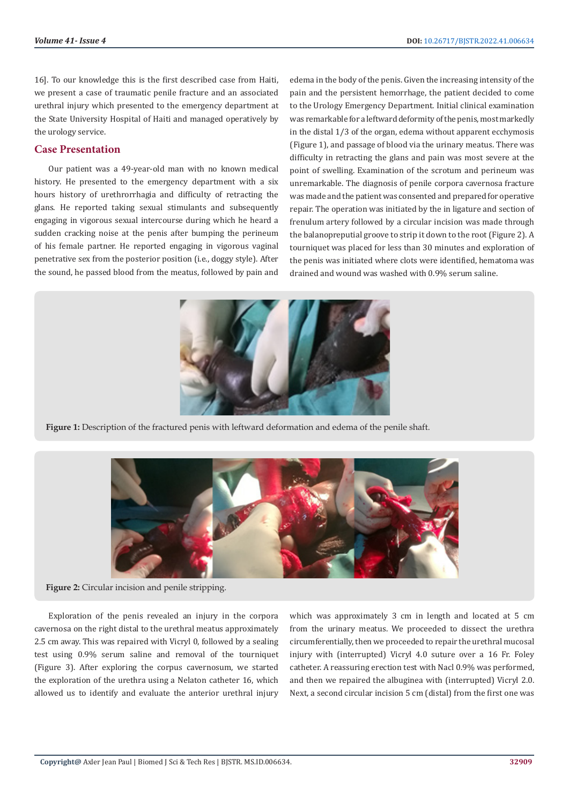16]. To our knowledge this is the first described case from Haiti, we present a case of traumatic penile fracture and an associated urethral injury which presented to the emergency department at the State University Hospital of Haiti and managed operatively by the urology service.

#### **Case Presentation**

Our patient was a 49-year-old man with no known medical history. He presented to the emergency department with a six hours history of urethrorrhagia and difficulty of retracting the glans. He reported taking sexual stimulants and subsequently engaging in vigorous sexual intercourse during which he heard a sudden cracking noise at the penis after bumping the perineum of his female partner. He reported engaging in vigorous vaginal penetrative sex from the posterior position (i.e., doggy style). After the sound, he passed blood from the meatus, followed by pain and

edema in the body of the penis. Given the increasing intensity of the pain and the persistent hemorrhage, the patient decided to come to the Urology Emergency Department. Initial clinical examination was remarkable for a leftward deformity of the penis, most markedly in the distal 1/3 of the organ, edema without apparent ecchymosis (Figure 1), and passage of blood via the urinary meatus. There was difficulty in retracting the glans and pain was most severe at the point of swelling. Examination of the scrotum and perineum was unremarkable. The diagnosis of penile corpora cavernosa fracture was made and the patient was consented and prepared for operative repair. The operation was initiated by the in ligature and section of frenulum artery followed by a circular incision was made through the balanopreputial groove to strip it down to the root (Figure 2). A tourniquet was placed for less than 30 minutes and exploration of the penis was initiated where clots were identified, hematoma was drained and wound was washed with 0.9% serum saline.



**Figure 1:** Description of the fractured penis with leftward deformation and edema of the penile shaft.



**Figure 2:** Circular incision and penile stripping.

Exploration of the penis revealed an injury in the corpora cavernosa on the right distal to the urethral meatus approximately 2.5 cm away. This was repaired with Vicryl 0, followed by a sealing test using 0.9% serum saline and removal of the tourniquet (Figure 3). After exploring the corpus cavernosum, we started the exploration of the urethra using a Nelaton catheter 16, which allowed us to identify and evaluate the anterior urethral injury

which was approximately 3 cm in length and located at 5 cm from the urinary meatus. We proceeded to dissect the urethra circumferentially, then we proceeded to repair the urethral mucosal injury with (interrupted) Vicryl 4.0 suture over a 16 Fr. Foley catheter. A reassuring erection test with Nacl 0.9% was performed, and then we repaired the albuginea with (interrupted) Vicryl 2.0. Next, a second circular incision 5 cm (distal) from the first one was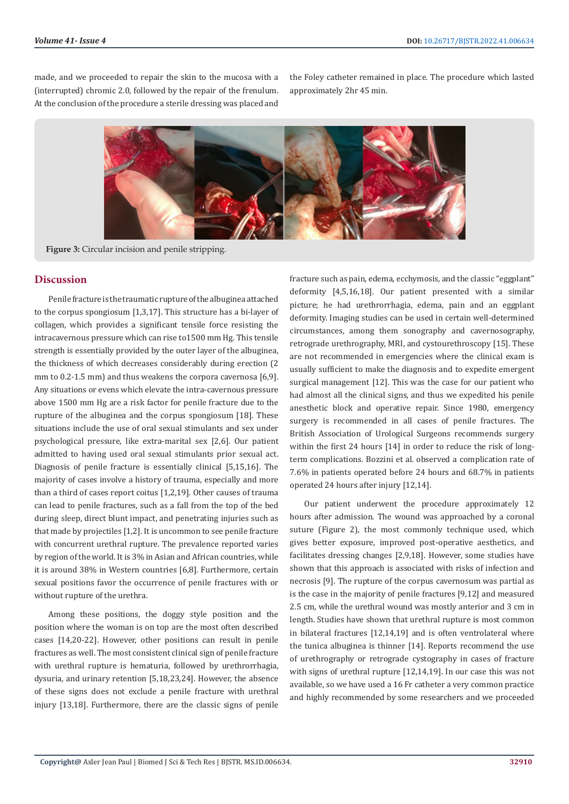made, and we proceeded to repair the skin to the mucosa with a (interrupted) chromic 2.0, followed by the repair of the frenulum. At the conclusion of the procedure a sterile dressing was placed and

the Foley catheter remained in place. The procedure which lasted approximately 2hr 45 min.



**Figure 3:** Circular incision and penile stripping.

## **Discussion**

Penile fracture is the traumatic rupture of the albuginea attached to the corpus spongiosum [1,3,17]. This structure has a bi-layer of collagen, which provides a significant tensile force resisting the intracavernous pressure which can rise to1500 mm Hg. This tensile strength is essentially provided by the outer layer of the albuginea, the thickness of which decreases considerably during erection (2 mm to 0.2-1.5 mm) and thus weakens the corpora cavernosa [6,9]. Any situations or evens which elevate the intra-cavernous pressure above 1500 mm Hg are a risk factor for penile fracture due to the rupture of the albuginea and the corpus spongiosum [18]. These situations include the use of oral sexual stimulants and sex under psychological pressure, like extra-marital sex [2,6]. Our patient admitted to having used oral sexual stimulants prior sexual act. Diagnosis of penile fracture is essentially clinical [5,15,16]. The majority of cases involve a history of trauma, especially and more than a third of cases report coitus [1,2,19]. Other causes of trauma can lead to penile fractures, such as a fall from the top of the bed during sleep, direct blunt impact, and penetrating injuries such as that made by projectiles [1,2]. It is uncommon to see penile fracture with concurrent urethral rupture. The prevalence reported varies by region of the world. It is 3% in Asian and African countries, while it is around 38% in Western countries [6,8]. Furthermore, certain sexual positions favor the occurrence of penile fractures with or without rupture of the urethra.

Among these positions, the doggy style position and the position where the woman is on top are the most often described cases [14,20-22]. However, other positions can result in penile fractures as well. The most consistent clinical sign of penile fracture with urethral rupture is hematuria, followed by urethrorrhagia, dysuria, and urinary retention [5,18,23,24]. However, the absence of these signs does not exclude a penile fracture with urethral injury [13,18]. Furthermore, there are the classic signs of penile

fracture such as pain, edema, ecchymosis, and the classic "eggplant" deformity [4,5,16,18]. Our patient presented with a similar picture; he had urethrorrhagia, edema, pain and an eggplant deformity. Imaging studies can be used in certain well-determined circumstances, among them sonography and cavernosography, retrograde urethrography, MRI, and cystourethroscopy [15]. These are not recommended in emergencies where the clinical exam is usually sufficient to make the diagnosis and to expedite emergent surgical management [12]. This was the case for our patient who had almost all the clinical signs, and thus we expedited his penile anesthetic block and operative repair. Since 1980, emergency surgery is recommended in all cases of penile fractures. The British Association of Urological Surgeons recommends surgery within the first 24 hours [14] in order to reduce the risk of longterm complications. Bozzini et al. observed a complication rate of 7.6% in patients operated before 24 hours and 68.7% in patients operated 24 hours after injury [12,14].

Our patient underwent the procedure approximately 12 hours after admission. The wound was approached by a coronal suture (Figure 2), the most commonly technique used, which gives better exposure, improved post-operative aesthetics, and facilitates dressing changes [2,9,18]. However, some studies have shown that this approach is associated with risks of infection and necrosis [9]. The rupture of the corpus cavernosum was partial as is the case in the majority of penile fractures [9,12] and measured 2.5 cm, while the urethral wound was mostly anterior and 3 cm in length. Studies have shown that urethral rupture is most common in bilateral fractures [12,14,19] and is often ventrolateral where the tunica albuginea is thinner [14]. Reports recommend the use of urethrography or retrograde cystography in cases of fracture with signs of urethral rupture [12,14,19]. In our case this was not available, so we have used a 16 Fr catheter a very common practice and highly recommended by some researchers and we proceeded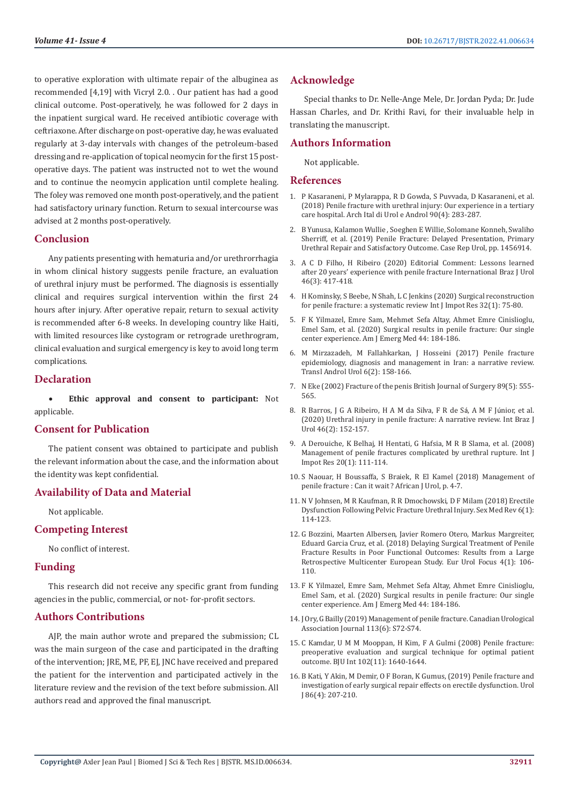to operative exploration with ultimate repair of the albuginea as recommended [4,19] with Vicryl 2.0. . Our patient has had a good clinical outcome. Post-operatively, he was followed for 2 days in the inpatient surgical ward. He received antibiotic coverage with ceftriaxone. After discharge on post-operative day, he was evaluated regularly at 3-day intervals with changes of the petroleum-based dressing and re-application of topical neomycin for the first 15 postoperative days. The patient was instructed not to wet the wound and to continue the neomycin application until complete healing. The foley was removed one month post-operatively, and the patient had satisfactory urinary function. Return to sexual intercourse was advised at 2 months post-operatively.

### **Conclusion**

Any patients presenting with hematuria and/or urethrorrhagia in whom clinical history suggests penile fracture, an evaluation of urethral injury must be performed. The diagnosis is essentially clinical and requires surgical intervention within the first 24 hours after injury. After operative repair, return to sexual activity is recommended after 6-8 weeks. In developing country like Haiti, with limited resources like cystogram or retrograde urethrogram, clinical evaluation and surgical emergency is key to avoid long term complications.

## **Declaration**

**Ethic approval and consent to participant:** Not applicable.

# **Consent for Publication**

The patient consent was obtained to participate and publish the relevant information about the case, and the information about the identity was kept confidential.

# **Availability of Data and Material**

Not applicable.

# **Competing Interest**

No conflict of interest.

### **Funding**

This research did not receive any specific grant from funding agencies in the public, commercial, or not- for-profit sectors.

# **Authors Contributions**

AJP, the main author wrote and prepared the submission; CL was the main surgeon of the case and participated in the drafting of the intervention; JRE, ME, PF, EJ, JNC have received and prepared the patient for the intervention and participated actively in the literature review and the revision of the text before submission. All authors read and approved the final manuscript.

## **Acknowledge**

Special thanks to Dr. Nelle-Ange Mele, Dr. Jordan Pyda; Dr. Jude Hassan Charles, and Dr. Krithi Ravi, for their invaluable help in translating the manuscript.

## **Authors Information**

Not applicable.

## **References**

- 1. [P Kasaraneni, P Mylarappa, R D Gowda, S Puvvada, D Kasaraneni, et al.](https://pubmed.ncbi.nlm.nih.gov/30655641/) [\(2018\) Penile fracture with urethral injury: Our experience in a tertiary](https://pubmed.ncbi.nlm.nih.gov/30655641/) [care hospital. Arch Ital di Urol e Androl 90\(4\): 283-287.](https://pubmed.ncbi.nlm.nih.gov/30655641/)
- 2. [B Yunusa, Kalamon Wullie , Soeghen E Willie, Solomane Konneh, Swaliho](https://read.qxmd.com/read/31687248/penile-fracture-delayed-presentation-primary-urethral-repair-and-satisfactory-outcome) [Sherriff, et al. \(2019\) Penile Fracture: Delayed Presentation, Primary](https://read.qxmd.com/read/31687248/penile-fracture-delayed-presentation-primary-urethral-repair-and-satisfactory-outcome) [Urethral Repair and Satisfactory Outcome. Case Rep Urol, pp. 1456914.](https://read.qxmd.com/read/31687248/penile-fracture-delayed-presentation-primary-urethral-repair-and-satisfactory-outcome)
- 3. [A C D Filho, H Ribeiro \(2020\) Editorial Comment: Lessons learned](https://www.ncbi.nlm.nih.gov/pmc/articles/PMC7088499/) [after 20 years' experience with penile fracture International Braz J Urol](https://www.ncbi.nlm.nih.gov/pmc/articles/PMC7088499/) [46\(3\): 417-418.](https://www.ncbi.nlm.nih.gov/pmc/articles/PMC7088499/)
- 4. [H Kominsky, S Beebe, N Shah, L C Jenkins \(2020\) Surgical reconstruction](https://pubmed.ncbi.nlm.nih.gov/31685943/) [for penile fracture: a systematic review Int J Impot Res 32\(1\): 75-80.](https://pubmed.ncbi.nlm.nih.gov/31685943/)
- 5. [F K Yilmazel, Emre Sam, Mehmet Sefa Altay, Ahmet Emre Cinislioglu,](https://pubmed.ncbi.nlm.nih.gov/33041121/) [Emel Sam, et al. \(2020\) Surgical results in penile fracture: Our single](https://pubmed.ncbi.nlm.nih.gov/33041121/) [center experience. Am J Emerg Med 44: 184-186.](https://pubmed.ncbi.nlm.nih.gov/33041121/)
- 6. [M Mirzazadeh, M Fallahkarkan, J Hosseini \(2017\) Penile fracture](https://www.ncbi.nlm.nih.gov/pmc/articles/PMC5422687/) [epidemiology, diagnosis and management in Iran: a narrative review.](https://www.ncbi.nlm.nih.gov/pmc/articles/PMC5422687/) [Transl Androl Urol 6\(2\): 158-166.](https://www.ncbi.nlm.nih.gov/pmc/articles/PMC5422687/)
- 7. [N Eke \(2002\) Fracture of the penis British Journal of Surgery 89\(5\): 555-](https://bjssjournals.onlinelibrary.wiley.com/doi/10.1046/j.1365-2168.2002.02075.x) [565.](https://bjssjournals.onlinelibrary.wiley.com/doi/10.1046/j.1365-2168.2002.02075.x)
- 8. R Barros, J G A Ribeiro, H A M da Silva, F R de Sá, A M F Júnior, et al. (2020) Urethral injury in penile fracture: A narrative review. Int Braz J Urol 46(2): 152-157.
- 9. A Derouiche, K Belhaj, H Hentati, G Hafsia, M R B Slama, et al. (2008) Management of penile fractures complicated by urethral rupture. Int J Impot Res 20(1): 111-114.
- 10. S Naouar, H Boussaffa, S Braiek, R El Kamel (2018) Management of penile fracture : Can it wait ? African J Urol, p. 4-7.
- 11. [N V Johnsen, M R Kaufman, R R Dmochowski, D F Milam \(2018\) Erectile](https://www.sciencedirect.com/science/article/pii/S2050052117300689) [Dysfunction Following Pelvic Fracture Urethral Injury. Sex Med Rev 6\(1\):](https://www.sciencedirect.com/science/article/pii/S2050052117300689) [114-123.](https://www.sciencedirect.com/science/article/pii/S2050052117300689)
- 12. G Bozzini, Maarten Albersen, Javier Romero Otero, Markus Margreiter, Eduard Garcia Cruz, et al. (2018) Delaying Surgical Treatment of Penile Fracture Results in Poor Functional Outcomes: Results from a Large Retrospective Multicenter European Study. Eur Urol Focus 4(1): 106- 110.
- 13. F K Yilmazel, [Emre Sam, Mehmet Sefa Altay, Ahmet Emre Cinislioglu,](https://pubmed.ncbi.nlm.nih.gov/33041121/) [Emel Sam, et al. \(2020\) Surgical results in penile fracture: Our single](https://pubmed.ncbi.nlm.nih.gov/33041121/) [center experience. Am J Emerg Med 44: 184-186.](https://pubmed.ncbi.nlm.nih.gov/33041121/)
- 14. J Ory, G Bailly (2019) Management of penile fracture. Canadian Urological Association Journal 113(6): S72-S74.
- 15. [C Kamdar, U M M Mooppan, H Kim, F A Gulmi \(2008\) Penile fracture:](https://pubmed.ncbi.nlm.nih.gov/18710448/) [preoperative evaluation and surgical technique for optimal patient](https://pubmed.ncbi.nlm.nih.gov/18710448/) [outcome. BJU Int 102\(11\): 1640-1644.](https://pubmed.ncbi.nlm.nih.gov/18710448/)
- 16. [B Kati, Y Akin, M Demir, O F Boran, K Gumus, \(2019\) Penile fracture and](https://pubmed.ncbi.nlm.nih.gov/31010389/) [investigation of early surgical repair effects on erectile dysfunction. Urol](https://pubmed.ncbi.nlm.nih.gov/31010389/) [J 86\(4\): 207-210.](https://pubmed.ncbi.nlm.nih.gov/31010389/)